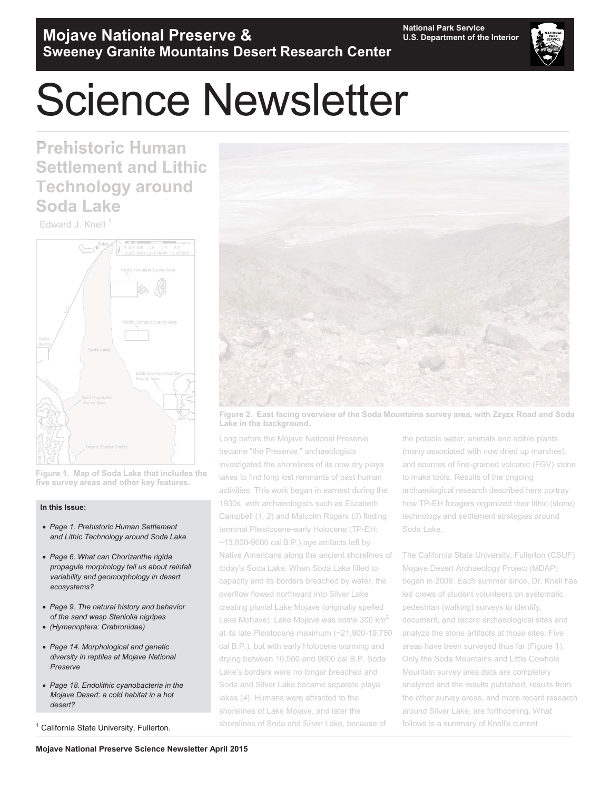

# Science Newsletter

**Prehistoric Human Settlement and Lithic Settlement Lithic Technology around around Soda Lake**

Edward J. Knell<sup>1</sup>



**Figure 1. Map of Soda Lake that includes the of five survey areas and other key features. key features.**

#### **In this Issue:**

- *Page 1. Prehistoric Human Settlement and Lithic Technology around Soda Lake*
- *Page 6. What can Chorizanthe rigida propagule morphology tell us about rainfall variability and geomorphology in desert ecosystems?*
- *Page 9. The natural history and behavior of the sand wasp Steniolia nigripes*
- *(Hymenoptera: Crabronidae)*
- *Page 14. Morphological and genetic diversity in reptiles at Mojave National Preserve*
- *Page 18. Endolithic cyanobacteria in the Mojave Desert: a cold habitat in a hot desert?*

California State University, Fullerton.



**Figure 2. East facing overview of the Soda Mountains survey area, with Zzyzx Road and Soda facing overview Soda Lake in the background.**

Long before the Mojave National Preserve became "the Preserve," archaeologists archaeologists investigated the shorelines of its now dry playa lakes to find long lost remnants of past human lakes to find long lost remnants of past human<br>activities. This work began in earnest during the 1930s, with archaeologists such as Elizabeth Elizabeth Campbell (*1, 2*) and Malcolm Rogers (*3*) finding ) finding terminal Pleistocene-early Holocene (TP-EH; (TP-EH;  $~13,800$ -9000 cal B.P.) age artifacts left by Native Americans along the ancient shorelines of today's Soda Lake. When Soda Lake filled to capacity and its borders breached by water, the water, the overflow flowed northward into Silver Lake Lake creating pluvial Lake Mojave (originally spelled spelled Lake Mohave). Lake Mojave was some 300 km<sup>2</sup> at its late Pleistocene maximum (~21,900-19,750 cal B.P.), but with early Holocene warming and drying between 10,500 and 9600 cal B.P. Soda Lake's borders were no longer breached and Soda and Silver Lake became separate playa lakes (*4*). Humans were attracted to the shorelines of Lake Mojave, and later the shorelines of Soda and Silver Lake, because of maximum (~21,900-19<br>y Holocene warming ar<br>0 and 9600 cal B.P. So<br>o longer breached and

the potable water, animals and edible plants (many associated with now dried up marshes), (many associated with now dried up marshes),<br>and sources of fine-grained volcanic (FGV) stone to make tools. Results of the ongoing archaeological research described here portray how TP-EH foragers organized their lithic (stone) (stone) technology and settlement strategies around Soda Lake.

The California State University, Fullerton (CSUF) (CSUF) Mojave Desert Archaeology Project (MDAP) (MDAP) began in 2009. Each summer since, Dr. Knell has has led crews of student volunteers on systematic pedestrian (walking) surveys to identify, document, and record archaeological sites and analyze the stone artifacts at those sites. Five areas have been surveyed thus far (Figure 1). areas (Figure 1). Only the Soda Mountains and Little Cowhole Mountain survey area data are completely analyzed and the results published; results from from the other survey areas, and more recent research around Silver Lake, are forthcoming. What follows is a summary of Knell's current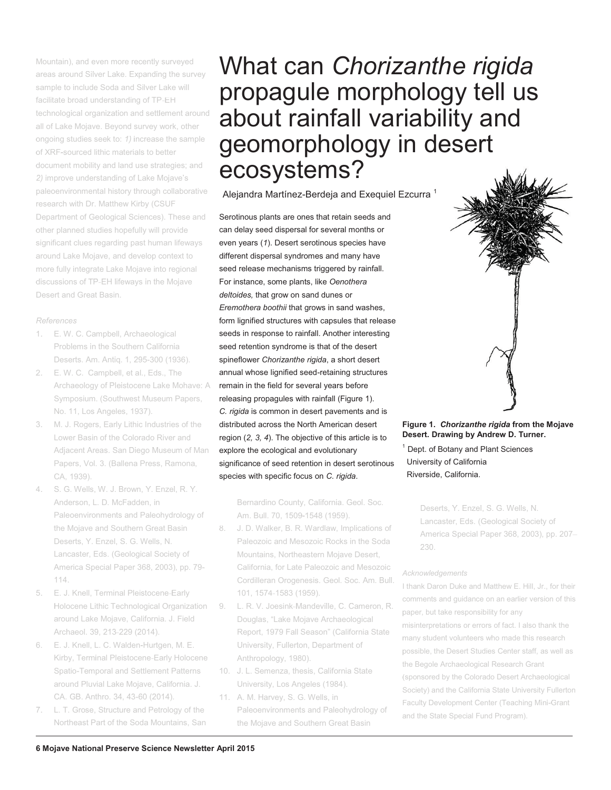Mountain), and even more recently surveyed areas around Silver Lake. Expanding the survey sample to include Soda and Silver Lake will facilitate broad understanding of TP-EH technological organization and settlement around all of Lake Mojave. Beyond survey work, other ongoing studies seek to: 1) increase the sample of XRF-sourced lithic materials to better XRF-sourced lithic to better document mobility and land use strategies; and *2)* improve understanding of Lake Mojave's Mojave's paleoenvironmental history through collaborative research with Dr. Matthew Kirby (CSUF Kirby (CSUF Department of Geological Sciences). These and other planned studies hopefully will provide provide significant clues regarding past human lifeways around Lake Mojave, and develop context to more fully integrate Lake Mojave into regional discussions of TP-EH lifeways in the Mojave Desert and Great Basin. discussions of TP-EH lifeways in the Moj<br>Desert and Great Basin.<br>*References*<br>1. E. W. C. Campbell, Archaeological

#### *References*

- Problems in the Southern California Deserts. Am. Antiq. 1, 295-300 (1936). (1936).
- 2. E. W. C. Campbell, et al., Eds., The 2. E. W. C. Campbell, et al., Eds., The<br>Archaeology of Pleistocene Lake Mohave: A Symposium. (Southwest Museum Papers, No. 11, Los Angeles, 1937). 1937).
- M. J. Rogers, Early Lithic Industries of the Lower Basin of the Colorado River and Adjacent Areas. San Diego Museum of Man Papers, Vol. 3. (Ballena Press, Ramona, CA, 1939). 1939). 3. asin of the Colorado River and<br>t Areas. San Diego Museum of M<br>Vol. 3. (Ballena Press, Ramona,
- 4. S. G. Wells, W. J. Brown, Y. Enzel, R. Y. Anderson, L. D. McFadden, in Paleoenvironments and Paleohydrology of the Mojave and Southern Great Basin Deserts, Y. Enzel, S. G. Wells, N. Lancaster, Eds. (Geological Society of Society of America Special Paper 368, 2003), pp. 79- 114. 114. 4. Anderson, L. D. McFadden, in<br>
2. Paleoenvironments and Paleohydrology of Am. Bull. 70, 1509-1548 (1959).<br>
2. D. Walker, B. R. Wardlaw, Implications<br>
Deserts, Y. Enzel, S. G. Wells, N. Paleozoic and Mesozoic Rocks in the So
- 5. E. J. Knell, Terminal Pleistocene-Early Holocene Lithic Technological Organization around Lake Mojave, California. J. Field Field Archaeol. 39, 213-229 (2014). (2014).
- 6. E. J. Knell, L. C. Walden-Hurtgen, M. E. Kirby, Terminal Pleistocene-Early Holocene Spatio-Temporal and Settlement Patterns Patterns around Pluvial Lake Mojave, California. J. J. CA. GB. Anthro. 34, 43-60 (2014). (2014). 6.
- L. T. Grose, Structure and Petrology of the Northeast Part of the Soda Mountains, San

### What can *Chorizanthe rigida* propagule morphology tell us about rainfall variability and geomorphology in desert ecosystems?

Alejandra Martínez-Berdeja and Exequiel Ezcurra<sup>1</sup>

Serotinous plants are ones that retain seeds and can delay seed dispersal for several months or even years (*1*). Desert serotinous species have different dispersal syndromes and many have seed release mechanisms triggered by rainfall. For instance, some plants, like *Oenothera deltoides,* that grow on sand dunes or *Eremothera boothii* that grows in sand washes, form lignified structures with capsules that release seeds in response to rainfall. Another interesting seed retention syndrome is that of the desert spineflower *Chorizanthe rigida*, a short desert annual whose lignified seed-retaining structures remain in the field for several years before releasing propagules with rainfall (Figure 1). *C. rigida* is common in desert pavements and is distributed across the North American desert region (*2, 3, 4*). The objective of this article is to explore the ecological and evolutionary significance of seed retention in desert serotinous species with specific focus on *C. rigida*.

Bernardino County, California. Geol. Soc. Am. Bull. 70, 1509-1548 (1959). (1959).

- 8. J. D. Walker, B. R. Wardlaw, Implications of Paleozoic and Mesozoic Rocks in the Soda Soda Mountains, Northeastern Mojave Desert, Mountains, Northeastern Mojave Desert,<br>California, for Late Paleozoic and Mesozoic Cordilleran Orogenesis. Geol. Soc. Am. Bull. Soc. 101, 1574-1583 (1959). (1959).
- 9. L. R. V. Joesink-Mandeville, C. Cameron, R. Douglas, "Lake Mojave Archaeological Report, 1979 Fall Season" (California State State University, Fullerton, Department of Anthropology, 1980). 1980). 9.
- 10. J. L. Semenza, thesis, California State University, Los Angeles (1984). (1984).
- 11. A. M. Harvey, S. G. Wells, in Paleoenvironments and Paleohydrology of the Mojave and Southern Great Basin

#### **Figure 1.** *Chorizanthe rigida* **from the Mojave Desert. Drawing by Andrew D. Turner.**

<sup>1</sup> Dept. of Botany and Plant Sciences University of California Riverside, California.

> Deserts, Y. Enzel, S. G. Wells, N. Lancaster, Eds. (Geological Society of America Special Paper 368, 2003), pp. 207– pp. 230. 230.

#### *Acknowledgements*

I thank Daron Duke and Matthew E. Hill, Jr., for their comments and guidance on an earlier version of this paper, but take responsibility for any misinterpretations or errors of fact. I also thank the the many student volunteers who made this research possible, the Desert Studies Center staff, as well as the Begole Archaeological Research Grant Grant (sponsored by the Colorado Desert Archaeological Archaeological Society) and the California State University Fullerton Fullerton Faculty Development Center (Teaching Mini-Grant and the State Special Fund Program). Lancaster, Eds. (Geological Society of<br>
in the Soda<br>
230.<br>
Poesert,<br>
Exerces Poesic and Matthew E. Hill, Jr., fo<br>
230.<br>
230.<br>
Acknowledgements<br>
1 thank Daron Duke and Matthew E. Hill, Jr., fo<br>
comments and guidance on an e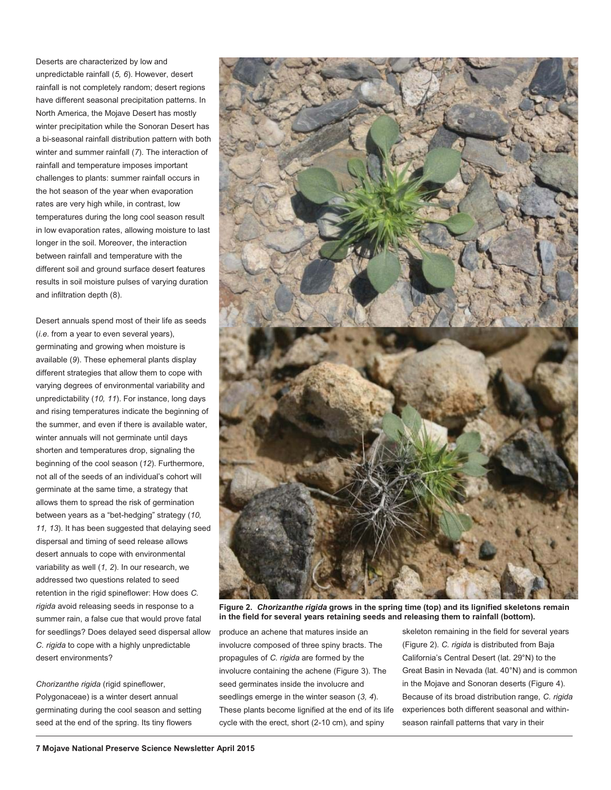Deserts are characterized by low and unpredictable rainfall (*5, 6*). However, desert rainfall is not completely random; desert regions have different seasonal precipitation patterns. In North America, the Mojave Desert has mostly winter precipitation while the Sonoran Desert has a bi-seasonal rainfall distribution pattern with both winter and summer rainfall (*7*). The interaction of rainfall and temperature imposes important challenges to plants: summer rainfall occurs in the hot season of the year when evaporation rates are very high while, in contrast, low temperatures during the long cool season result in low evaporation rates, allowing moisture to last longer in the soil. Moreover, the interaction between rainfall and temperature with the different soil and ground surface desert features results in soil moisture pulses of varying duration and infiltration depth (8).

Desert annuals spend most of their life as seeds (*i.e.* from a year to even several years), germinating and growing when moisture is available (*9*). These ephemeral plants display different strategies that allow them to cope with varying degrees of environmental variability and unpredictability (*10, 11*). For instance, long days and rising temperatures indicate the beginning of the summer, and even if there is available water, winter annuals will not germinate until days shorten and temperatures drop, signaling the beginning of the cool season (*12*). Furthermore, not all of the seeds of an individual's cohort will germinate at the same time, a strategy that allows them to spread the risk of germination between years as a "bet-hedging" strategy (*10, 11, 13*). It has been suggested that delaying seed dispersal and timing of seed release allows desert annuals to cope with environmental variability as well (*1, 2*). In our research, we addressed two questions related to seed retention in the rigid spineflower: How does *C. rigida* avoid releasing seeds in response to a summer rain, a false cue that would prove fatal for seedlings? Does delayed seed dispersal allow *C. rigida* to cope with a highly unpredictable desert environments?

*Chorizanthe rigida* (rigid spineflower, Polygonaceae) is a winter desert annual germinating during the cool season and setting seed at the end of the spring. Its tiny flowers

ł,



**Figure 2.** *Chorizanthe rigida* **grows in the spring time (top) and its lignified skeletons remain in the field for several years retaining seeds and releasing them to rainfall (bottom).**

produce an achene that matures inside an involucre composed of three spiny bracts. The propagules of *C. rigida* are formed by the involucre containing the achene (Figure 3). The seed germinates inside the involucre and seedlings emerge in the winter season (*3, 4*). These plants become lignified at the end of its life cycle with the erect, short (2-10 cm), and spiny

skeleton remaining in the field for several years (Figure 2). *C. rigida* is distributed from Baja California's Central Desert (lat. 29°N) to the Great Basin in Nevada (lat. 40°N) and is common in the Mojave and Sonoran deserts (Figure 4). Because of its broad distribution range, *C. rigida* experiences both different seasonal and withinseason rainfall patterns that vary in their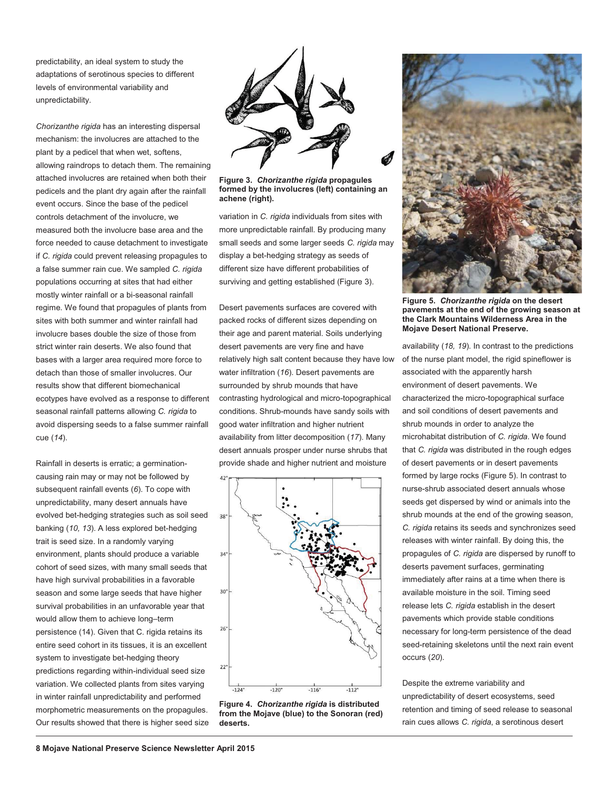predictability, an ideal system to study the adaptations of serotinous species to different levels of environmental variability and unpredictability.

*Chorizanthe rigida* has an interesting dispersal mechanism: the involucres are attached to the plant by a pedicel that when wet, softens, allowing raindrops to detach them. The remaining attached involucres are retained when both their pedicels and the plant dry again after the rainfall event occurs. Since the base of the pedicel controls detachment of the involucre, we measured both the involucre base area and the force needed to cause detachment to investigate if *C. rigida* could prevent releasing propagules to a false summer rain cue. We sampled *C. rigida* populations occurring at sites that had either mostly winter rainfall or a bi-seasonal rainfall regime. We found that propagules of plants from sites with both summer and winter rainfall had involucre bases double the size of those from strict winter rain deserts. We also found that bases with a larger area required more force to detach than those of smaller involucres. Our results show that different biomechanical ecotypes have evolved as a response to different seasonal rainfall patterns allowing *C. rigida* to avoid dispersing seeds to a false summer rainfall cue (*14*).

Rainfall in deserts is erratic; a germinationcausing rain may or may not be followed by subsequent rainfall events (*6*). To cope with unpredictability, many desert annuals have evolved bet-hedging strategies such as soil seed banking (*10, 13*). A less explored bet-hedging trait is seed size. In a randomly varying environment, plants should produce a variable cohort of seed sizes, with many small seeds that have high survival probabilities in a favorable season and some large seeds that have higher survival probabilities in an unfavorable year that would allow them to achieve long–term persistence (14). Given that C. rigida retains its entire seed cohort in its tissues, it is an excellent system to investigate bet-hedging theory predictions regarding within-individual seed size variation. We collected plants from sites varying in winter rainfall unpredictability and performed morphometric measurements on the propagules. Our results showed that there is higher seed size



**Figure 3.** *Chorizanthe rigida* **propagules formed by the involucres (left) containing an achene (right).**

variation in *C. rigida* individuals from sites with more unpredictable rainfall. By producing many small seeds and some larger seeds *C. rigida* may display a bet-hedging strategy as seeds of different size have different probabilities of surviving and getting established (Figure 3).

Desert pavements surfaces are covered with packed rocks of different sizes depending on their age and parent material. Soils underlying desert pavements are very fine and have relatively high salt content because they have low water infiltration (*16*). Desert pavements are surrounded by shrub mounds that have contrasting hydrological and micro-topographical conditions. Shrub-mounds have sandy soils with good water infiltration and higher nutrient availability from litter decomposition (*17*). Many desert annuals prosper under nurse shrubs that provide shade and higher nutrient and moisture



**Figure 4.** *Chorizanthe rigida* **is distributed from the Mojave (blue) to the Sonoran (red) deserts.**



**Figure 5.** *Chorizanthe rigida* **on the desert pavements at the end of the growing season at the Clark Mountains Wilderness Area in the Mojave Desert National Preserve.**

availability (*18, 19*). In contrast to the predictions of the nurse plant model, the rigid spineflower is associated with the apparently harsh environment of desert pavements. We characterized the micro-topographical surface and soil conditions of desert pavements and shrub mounds in order to analyze the microhabitat distribution of *C. rigida*. We found that *C. rigida* was distributed in the rough edges of desert pavements or in desert pavements formed by large rocks (Figure 5). In contrast to nurse-shrub associated desert annuals whose seeds get dispersed by wind or animals into the shrub mounds at the end of the growing season, *C. rigida* retains its seeds and synchronizes seed releases with winter rainfall. By doing this, the propagules of *C. rigida* are dispersed by runoff to deserts pavement surfaces, germinating immediately after rains at a time when there is available moisture in the soil. Timing seed release lets *C. rigida* establish in the desert pavements which provide stable conditions necessary for long-term persistence of the dead seed-retaining skeletons until the next rain event occurs (*20*).

Despite the extreme variability and unpredictability of desert ecosystems, seed retention and timing of seed release to seasonal rain cues allows *C. rigida*, a serotinous desert

ł,